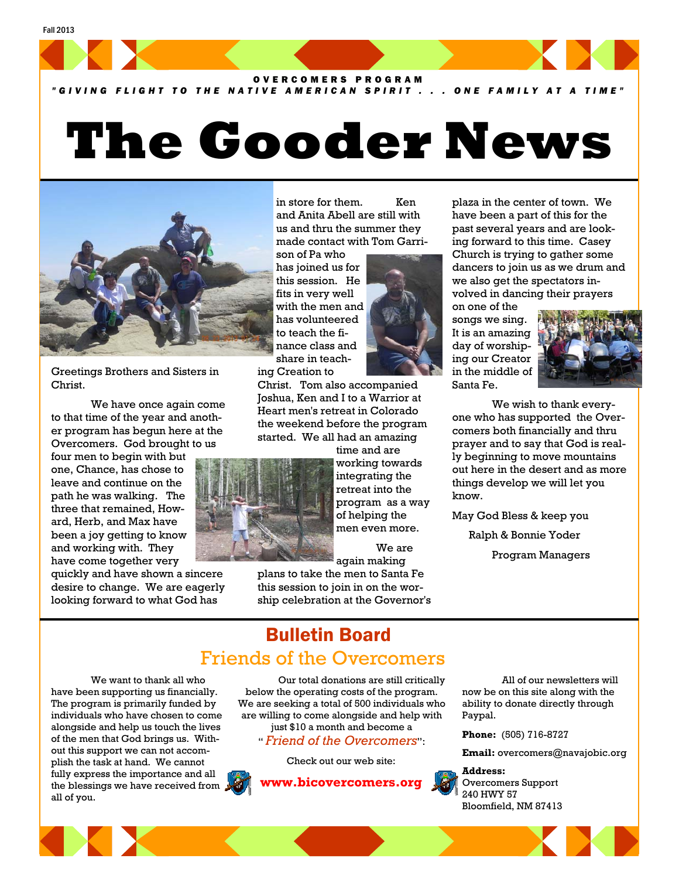

*"GIVING FLIGHT TO THE NATIVE AMERICAN SPIRIT . . . ONE FAMILY AT A TIME"*

## **The Gooder News**



Greetings Brothers and Sisters in Christ.

 We have once again come to that time of the year and another program has begun here at the Overcomers. God brought to us

four men to begin with but one, Chance, has chose to leave and continue on the path he was walking. The three that remained, Howard, Herb, and Max have been a joy getting to know and working with. They have come together very

quickly and have shown a sincere desire to change. We are eagerly looking forward to what God has

in store for them. Ken and Anita Abell are still with us and thru the summer they made contact with Tom Garri-

son of Pa who has joined us for this session. He fits in very well with the men and has volunteered to teach the finance class and share in teaching Creation to

Christ. Tom also accompanied Joshua, Ken and I to a Warrior at Heart men's retreat in Colorado the weekend before the program started. We all had an amazing

time and are working towards integrating the retreat into the program as a way of helping the men even more.

 We are again making

plans to take the men to Santa Fe this session to join in on the worship celebration at the Governor's plaza in the center of town. We have been a part of this for the past several years and are looking forward to this time. Casey Church is trying to gather some dancers to join us as we drum and we also get the spectators involved in dancing their prayers

on one of the songs we sing. It is an amazing day of worshiping our Creator in the middle of Santa Fe.



 We wish to thank everyone who has supported the Overcomers both financially and thru prayer and to say that God is really beginning to move mountains out here in the desert and as more things develop we will let you know.

May God Bless & keep you

Ralph & Bonnie Yoder

Program Managers

## Bulletin Board Friends of the Overcomers

 We want to thank all who have been supporting us financially. The program is primarily funded by individuals who have chosen to come alongside and help us touch the lives of the men that God brings us. Without this support we can not accomplish the task at hand. We cannot fully express the importance and all the blessings we have received from all of you.



" *Friend of the Overcomers*":

Check out our web site:



 All of our newsletters will now be on this site along with the ability to donate directly through Paypal.

**Phone:** (505) 716-8727

**Email:** overcomers@navajobic.org

**Address:**  Overcomers Support 240 HWY 57 Bloomfield, NM 87413